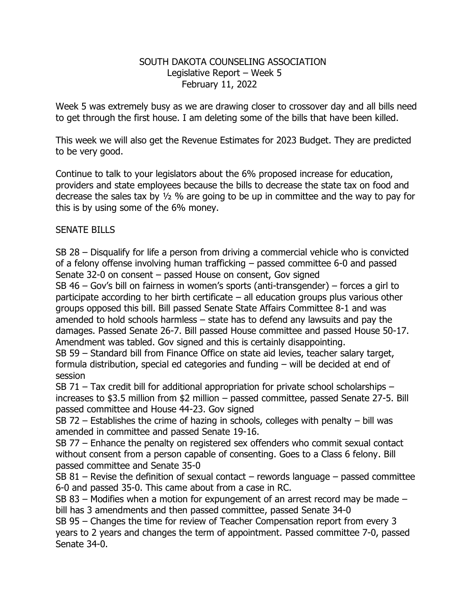## SOUTH DAKOTA COUNSELING ASSOCIATION Legislative Report – Week 5 February 11, 2022

Week 5 was extremely busy as we are drawing closer to crossover day and all bills need to get through the first house. I am deleting some of the bills that have been killed.

This week we will also get the Revenue Estimates for 2023 Budget. They are predicted to be very good.

Continue to talk to your legislators about the 6% proposed increase for education, providers and state employees because the bills to decrease the state tax on food and decrease the sales tax by ½ % are going to be up in committee and the way to pay for this is by using some of the 6% money.

## SENATE BILLS

SB 28 – Disqualify for life a person from driving a commercial vehicle who is convicted of a felony offense involving human trafficking – passed committee 6-0 and passed Senate 32-0 on consent – passed House on consent, Gov signed

SB 46 – Gov's bill on fairness in women's sports (anti-transgender) – forces a girl to participate according to her birth certificate – all education groups plus various other groups opposed this bill. Bill passed Senate State Affairs Committee 8-1 and was amended to hold schools harmless – state has to defend any lawsuits and pay the damages. Passed Senate 26-7. Bill passed House committee and passed House 50-17. Amendment was tabled. Gov signed and this is certainly disappointing.

SB 59 – Standard bill from Finance Office on state aid levies, teacher salary target, formula distribution, special ed categories and funding – will be decided at end of session

SB 71 – Tax credit bill for additional appropriation for private school scholarships – increases to \$3.5 million from \$2 million – passed committee, passed Senate 27-5. Bill passed committee and House 44-23. Gov signed

SB 72 – Establishes the crime of hazing in schools, colleges with penalty – bill was amended in committee and passed Senate 19-16.

SB 77 – Enhance the penalty on registered sex offenders who commit sexual contact without consent from a person capable of consenting. Goes to a Class 6 felony. Bill passed committee and Senate 35-0

SB 81 – Revise the definition of sexual contact – rewords language – passed committee 6-0 and passed 35-0. This came about from a case in RC.

SB 83 – Modifies when a motion for expungement of an arrest record may be made – bill has 3 amendments and then passed committee, passed Senate 34-0

SB 95 – Changes the time for review of Teacher Compensation report from every 3 years to 2 years and changes the term of appointment. Passed committee 7-0, passed Senate 34-0.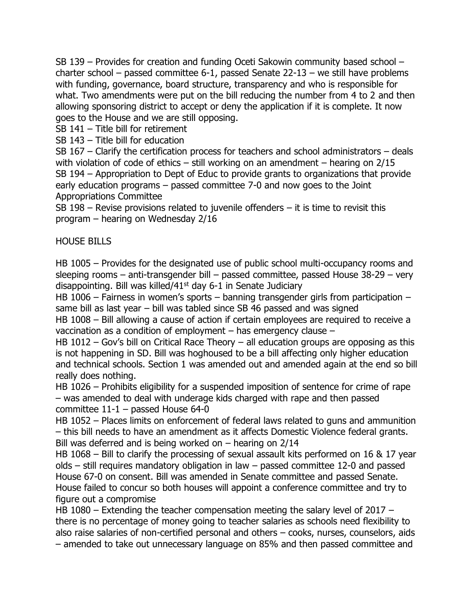SB 139 – Provides for creation and funding Oceti Sakowin community based school – charter school – passed committee 6-1, passed Senate 22-13 – we still have problems with funding, governance, board structure, transparency and who is responsible for what. Two amendments were put on the bill reducing the number from 4 to 2 and then allowing sponsoring district to accept or deny the application if it is complete. It now goes to the House and we are still opposing.

SB 141 – Title bill for retirement

SB 143 – Title bill for education

SB 167 – Clarify the certification process for teachers and school administrators – deals with violation of code of ethics – still working on an amendment – hearing on 2/15 SB 194 – Appropriation to Dept of Educ to provide grants to organizations that provide early education programs – passed committee 7-0 and now goes to the Joint Appropriations Committee

SB 198 – Revise provisions related to juvenile offenders – it is time to revisit this program – hearing on Wednesday 2/16

## HOUSE BILLS

HB 1005 – Provides for the designated use of public school multi-occupancy rooms and sleeping rooms – anti-transgender bill – passed committee, passed House 38-29 – very disappointing. Bill was killed/41st day 6-1 in Senate Judiciary

HB 1006 – Fairness in women's sports – banning transgender girls from participation – same bill as last year – bill was tabled since SB 46 passed and was signed

HB 1008 – Bill allowing a cause of action if certain employees are required to receive a vaccination as a condition of employment – has emergency clause –

HB 1012 – Gov's bill on Critical Race Theory – all education groups are opposing as this is not happening in SD. Bill was hoghoused to be a bill affecting only higher education and technical schools. Section 1 was amended out and amended again at the end so bill really does nothing.

HB 1026 – Prohibits eligibility for a suspended imposition of sentence for crime of rape – was amended to deal with underage kids charged with rape and then passed committee 11-1 – passed House 64-0

HB 1052 – Places limits on enforcement of federal laws related to guns and ammunition – this bill needs to have an amendment as it affects Domestic Violence federal grants. Bill was deferred and is being worked on – hearing on 2/14

HB 1068 – Bill to clarify the processing of sexual assault kits performed on 16 & 17 year olds – still requires mandatory obligation in law – passed committee 12-0 and passed House 67-0 on consent. Bill was amended in Senate committee and passed Senate. House failed to concur so both houses will appoint a conference committee and try to figure out a compromise

HB 1080 – Extending the teacher compensation meeting the salary level of 2017 – there is no percentage of money going to teacher salaries as schools need flexibility to also raise salaries of non-certified personal and others – cooks, nurses, counselors, aids – amended to take out unnecessary language on 85% and then passed committee and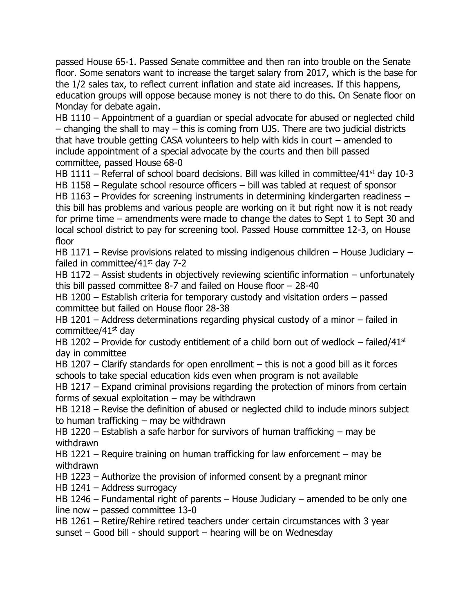passed House 65-1. Passed Senate committee and then ran into trouble on the Senate floor. Some senators want to increase the target salary from 2017, which is the base for the 1/2 sales tax, to reflect current inflation and state aid increases. If this happens, education groups will oppose because money is not there to do this. On Senate floor on Monday for debate again.

HB 1110 – Appointment of a guardian or special advocate for abused or neglected child – changing the shall to may – this is coming from UJS. There are two judicial districts that have trouble getting CASA volunteers to help with kids in court – amended to include appointment of a special advocate by the courts and then bill passed committee, passed House 68-0

HB 1111 – Referral of school board decisions. Bill was killed in committee/41<sup>st</sup> day 10-3 HB 1158 – Regulate school resource officers – bill was tabled at request of sponsor

HB 1163 – Provides for screening instruments in determining kindergarten readiness – this bill has problems and various people are working on it but right now it is not ready for prime time – amendments were made to change the dates to Sept 1 to Sept 30 and local school district to pay for screening tool. Passed House committee 12-3, on House floor

HB 1171 – Revise provisions related to missing indigenous children – House Judiciary – failed in committee/ $41<sup>st</sup>$  day 7-2

HB 1172 – Assist students in objectively reviewing scientific information – unfortunately this bill passed committee 8-7 and failed on House floor – 28-40

HB 1200 – Establish criteria for temporary custody and visitation orders – passed committee but failed on House floor 28-38

HB 1201 – Address determinations regarding physical custody of a minor – failed in committee/41st day

HB 1202 – Provide for custody entitlement of a child born out of wedlock – failed/41st day in committee

HB 1207 – Clarify standards for open enrollment – this is not a good bill as it forces schools to take special education kids even when program is not available

HB 1217 – Expand criminal provisions regarding the protection of minors from certain forms of sexual exploitation  $-$  may be withdrawn

HB 1218 – Revise the definition of abused or neglected child to include minors subject to human trafficking – may be withdrawn

HB 1220 – Establish a safe harbor for survivors of human trafficking – may be withdrawn

HB 1221 – Require training on human trafficking for law enforcement – may be withdrawn

HB 1223 – Authorize the provision of informed consent by a pregnant minor

HB 1241 – Address surrogacy

HB 1246 – Fundamental right of parents – House Judiciary – amended to be only one line now – passed committee 13-0

HB 1261 – Retire/Rehire retired teachers under certain circumstances with 3 year

sunset – Good bill - should support – hearing will be on Wednesday